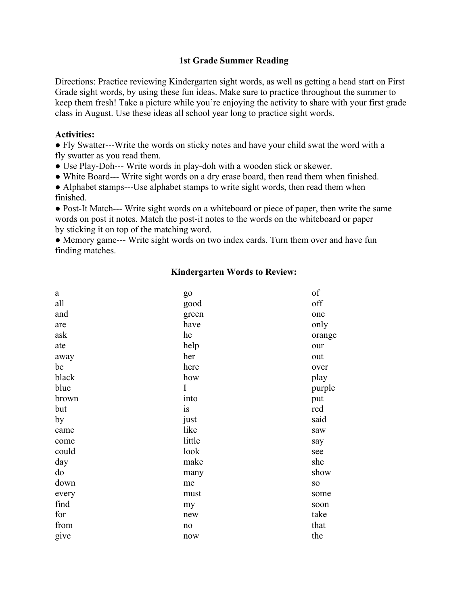## **1st Grade Summer Reading**

Directions: Practice reviewing Kindergarten sight words, as well as getting a head start on First Grade sight words, by using these fun ideas. Make sure to practice throughout the summer to keep them fresh! Take a picture while you're enjoying the activity to share with your first grade class in August. Use these ideas all school year long to practice sight words.

## **Activities:**

● Fly Swatter---Write the words on sticky notes and have your child swat the word with a fly swatter as you read them.

• Use Play-Doh--- Write words in play-doh with a wooden stick or skewer.

● White Board--- Write sight words on a dry erase board, then read them when finished.

• Alphabet stamps---Use alphabet stamps to write sight words, then read them when finished.

● Post-It Match--- Write sight words on a whiteboard or piece of paper, then write the same words on post it notes. Match the post-it notes to the words on the whiteboard or paper by sticking it on top of the matching word.

• Memory game--- Write sight words on two index cards. Turn them over and have fun finding matches.

| a     | go     | of              |
|-------|--------|-----------------|
| all   | good   | off             |
| and   | green  | one             |
| are   | have   | only            |
| ask   | he     | orange          |
| ate   | help   | our             |
| away  | her    | out             |
| be    | here   | over            |
| black | how    | play            |
| blue  | I      | purple          |
| brown | into   | put             |
| but   | is     | red             |
| by    | just   | said            |
| came  | like   | saw             |
| come  | little | say             |
| could | look   | see             |
| day   | make   | she             |
| do    | many   | show            |
| down  | me     | SO <sub>1</sub> |
| every | must   | some            |
| find  | my     | soon            |
| for   | new    | take            |
| from  | no     | that            |
| give  | now    | the             |
|       |        |                 |

## **Kindergarten Words to Review:**